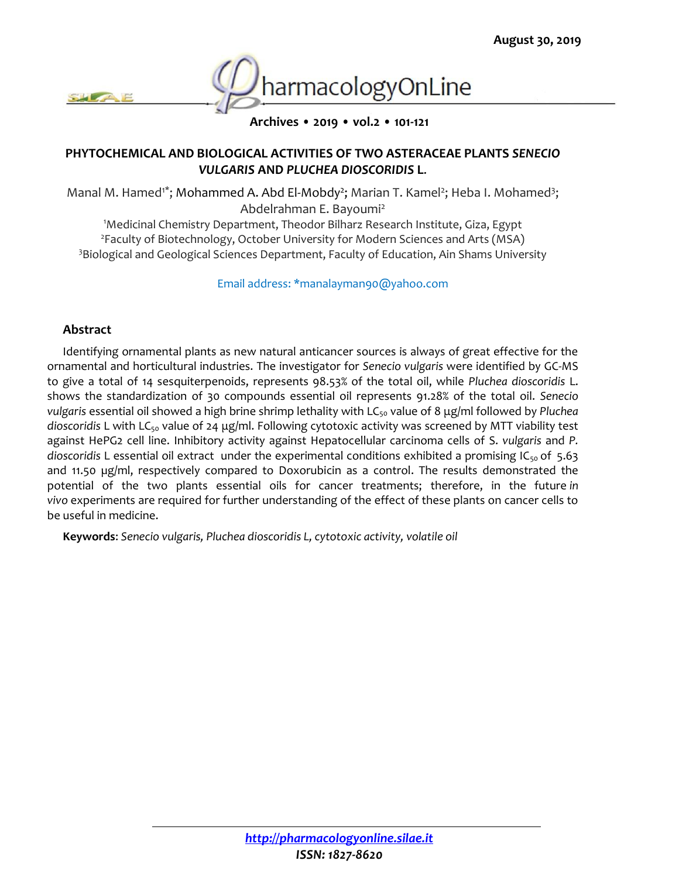

**Archives • 2019 • vol.2 • 101-121**

## **PHYTOCHEMICAL AND BIOLOGICAL ACTIVITIES OF TWO ASTERACEAE PLANTS** *SENECIO VULGARIS* **AND** *PLUCHEA DIOSCORIDIS* **L**.

Manal M. Hamed<sup>1\*</sup>; Mohammed A. Abd El-Mobdy<sup>2</sup>; Marian T. Kamel<sup>2</sup>; Heba I. Mohamed<sup>3</sup>; Abdelrahman E. Bayoumi<sup>2</sup>

<sup>1</sup>Medicinal Chemistry Department, Theodor Bilharz Research Institute, Giza, Egypt <sup>2</sup>Faculty of Biotechnology, October University for Modern Sciences and Arts (MSA) <sup>3</sup>Biological and Geological Sciences Department, Faculty of Education, Ain Shams University

Email address: \*manalayman90@yahoo.com

## **Abstract**

Identifying ornamental plants as new natural anticancer sources is always of great effective for the ornamental and horticultural industries. The investigator for *Senecio vulgaris* were identified by GC-MS to give a total of 14 sesquiterpenoids, represents 98.53% of the total oil, while *Pluchea dioscoridis* L. shows the standardization of 30 compounds essential oil represents 91.28% of the total oil. *Senecio vulgaris* essential oil showed a high brine shrimp lethality with LC<sub>50</sub> value of 8 μg/ml followed by *Pluchea* dioscoridis L with LC<sub>50</sub> value of 24 μg/ml. Following cytotoxic activity was screened by MTT viability test against HePG2 cell line. Inhibitory activity against Hepatocellular carcinoma cells of S. *vulgaris* and *P. dioscoridis* L essential oil extract under the experimental conditions exhibited a promising IC50 of 5.63 and 11.50 ug/ml, respectively compared to Doxorubicin as a control. The results demonstrated the potential of the two plants essential oils for cancer treatments; therefore, in the future *in vivo* experiments are required for further understanding of the effect of these plants on cancer cells to be useful in medicine.

**Keywords**: *Senecio vulgaris, Pluchea dioscoridis L, cytotoxic activity, volatile oil*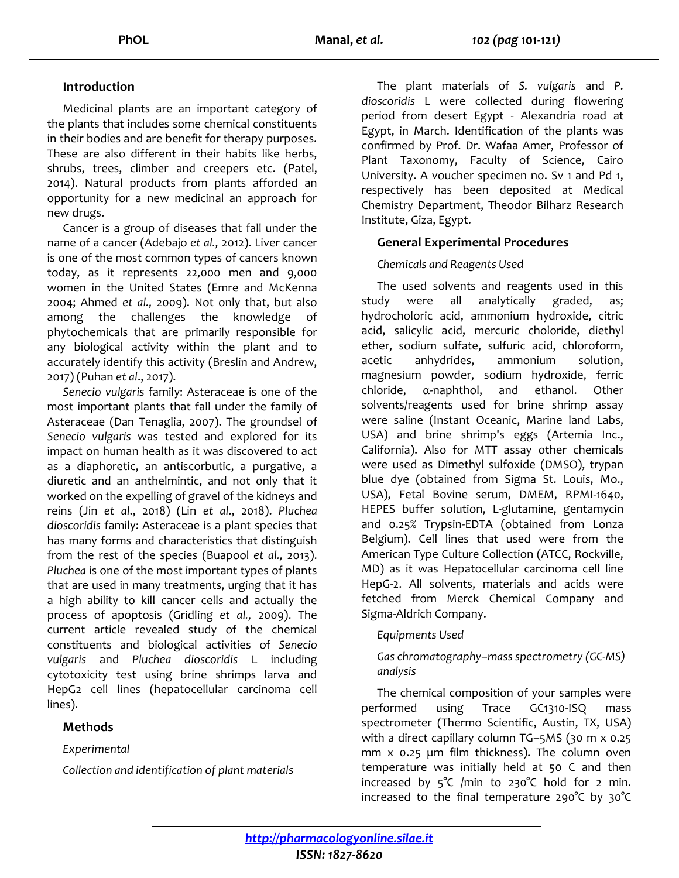### **Introduction**

Medicinal plants are an important category of the plants that includes some chemical constituents in their bodies and are benefit for therapy purposes. These are also different in their habits like herbs, shrubs, trees, climber and creepers etc. (Patel, 2014). Natural products from plants afforded an opportunity for a new medicinal an approach for new drugs.

Cancer is a group of diseases that fall under the name of a cancer (Adebajo *et al.,* 2012). Liver cancer is one of the most common types of cancers known today, as it represents 22,000 men and 9,000 women in the United States (Emre and McKenna 2004; Ahmed *et al.,* 2009). Not only that, but also among the challenges the knowledge of phytochemicals that are primarily responsible for any biological activity within the plant and to accurately identify this activity (Breslin and Andrew, 2017) (Puhan *et al*., 2017).

*Senecio vulgaris* family: Asteraceae is one of the most important plants that fall under the family of Asteraceae (Dan Tenaglia, 2007). The groundsel of *Senecio vulgaris* was tested and explored for its impact on human health as it was discovered to act as a diaphoretic, an antiscorbutic, a purgative, a diuretic and an anthelmintic, and not only that it worked on the expelling of gravel of the kidneys and reins (Jin *et al*., 2018) (Lin *et al*., 2018). *Pluchea dioscoridis* family: Asteraceae is a plant species that has many forms and characteristics that distinguish from the rest of the species (Buapool *et al.,* 2013). *Pluchea* is one of the most important types of plants that are used in many treatments, urging that it has a high ability to kill cancer cells and actually the process of apoptosis (Gridling *et al.,* 2009). The current article revealed study of the chemical constituents and biological activities of *Senecio vulgaris* and *Pluchea dioscoridis* L including cytotoxicity test using brine shrimps larva and HepG2 cell lines (hepatocellular carcinoma cell lines).

## **Methods**

*Experimental*

*Collection and identification of plant materials* 

The plant materials of *S. vulgaris* and *P. dioscoridis* L were collected during flowering period from desert Egypt - Alexandria road at Egypt, in March. Identification of the plants was confirmed by Prof. Dr. Wafaa Amer, Professor of Plant Taxonomy, Faculty of Science, Cairo University. A voucher specimen no. Sv 1 and Pd 1, respectively has been deposited at Medical Chemistry Department, Theodor Bilharz Research Institute, Giza, Egypt.

## **General Experimental Procedures**

## *Chemicals and Reagents Used*

The used solvents and reagents used in this study were all analytically graded, as; hydrocholoric acid, ammonium hydroxide, citric acid, salicylic acid, mercuric choloride, diethyl ether, sodium sulfate, sulfuric acid, chloroform, acetic anhydrides, ammonium solution, magnesium powder, sodium hydroxide, ferric chloride, α-naphthol, and ethanol. Other solvents/reagents used for brine shrimp assay were saline (Instant Oceanic, Marine land Labs, USA) and brine shrimp's eggs (Artemia Inc., California). Also for MTT assay other chemicals were used as Dimethyl sulfoxide (DMSO), trypan blue dye (obtained from Sigma St. Louis, Mo., USA), Fetal Bovine serum, DMEM, RPMI-1640, HEPES buffer solution, L-glutamine, gentamycin and 0.25% Trypsin-EDTA (obtained from Lonza Belgium). Cell lines that used were from the American Type Culture Collection (ATCC, Rockville, MD) as it was Hepatocellular carcinoma cell line HepG-2. All solvents, materials and acids were fetched from Merck Chemical Company and Sigma-Aldrich Company.

## *Equipments Used*

*Gas chromatography–mass spectrometry (GC-MS) analysis*

The chemical composition of your samples were performed using Trace GC1310-ISQ mass spectrometer (Thermo Scientific, Austin, TX, USA) with a direct capillary column TG–5MS (30 m x 0.25 mm x 0.25 µm film thickness). The column oven temperature was initially held at 50 C and then increased by  $5^{\circ}C$  /min to 230 $^{\circ}C$  hold for 2 min. increased to the final temperature 290°C by 30°C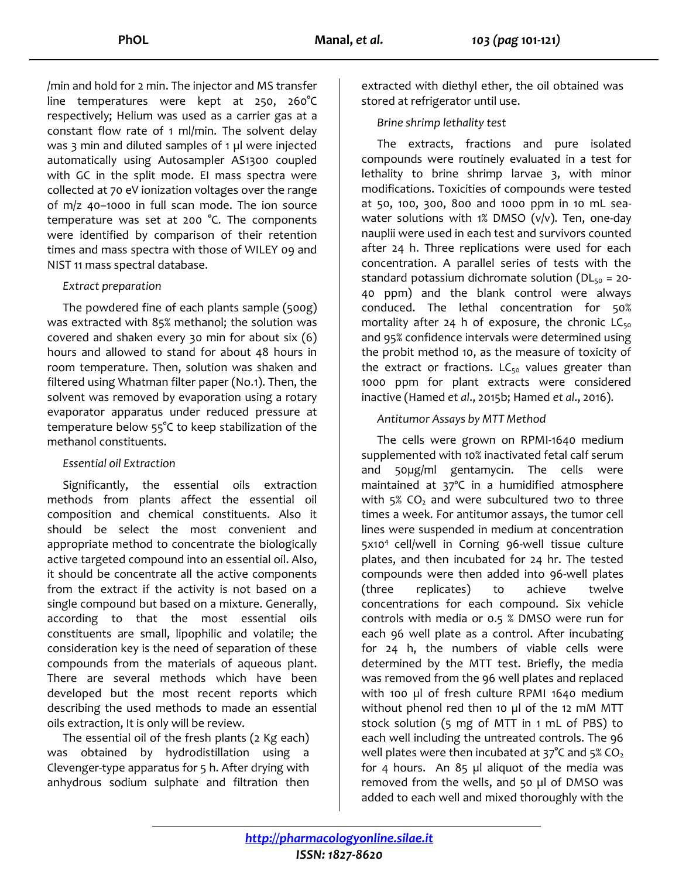/min and hold for 2 min. The injector and MS transfer line temperatures were kept at 250, 260°C respectively; Helium was used as a carrier gas at a constant flow rate of 1 ml/min. The solvent delay was 3 min and diluted samples of 1 µl were injected automatically using Autosampler AS1300 coupled with GC in the split mode. EI mass spectra were collected at 70 eV ionization voltages over the range of m/z 40–1000 in full scan mode. The ion source temperature was set at 200 °C. The components were identified by comparison of their retention times and mass spectra with those of WILEY 09 and NIST 11 mass spectral database.

## *Extract preparation*

The powdered fine of each plants sample (500g) was extracted with 85% methanol; the solution was covered and shaken every 30 min for about six (6) hours and allowed to stand for about 48 hours in room temperature. Then, solution was shaken and filtered using Whatman filter paper (No.1). Then, the solvent was removed by evaporation using a rotary evaporator apparatus under reduced pressure at temperature below 55°C to keep stabilization of the methanol constituents.

### *Essential oil Extraction*

Significantly, the essential oils extraction methods from plants affect the essential oil composition and chemical constituents. Also it should be select the most convenient and appropriate method to concentrate the biologically active targeted compound into an essential oil. Also, it should be concentrate all the active components from the extract if the activity is not based on a single compound but based on a mixture. Generally, according to that the most essential oils constituents are small, lipophilic and volatile; the consideration key is the need of separation of these compounds from the materials of aqueous plant. There are several methods which have been developed but the most recent reports which describing the used methods to made an essential oils extraction, It is only will be review.

The essential oil of the fresh plants (2 Kg each) was obtained by hydrodistillation using a Clevenger-type apparatus for 5 h. After drying with anhydrous sodium sulphate and filtration then

extracted with diethyl ether, the oil obtained was stored at refrigerator until use.

# *Brine shrimp lethality test*

The extracts, fractions and pure isolated compounds were routinely evaluated in a test for lethality to brine shrimp larvae 3, with minor modifications. Toxicities of compounds were tested at 50, 100, 300, 800 and 1000 ppm in 10 mL seawater solutions with  $1\%$  DMSO (v/v). Ten, one-day nauplii were used in each test and survivors counted after 24 h. Three replications were used for each concentration. A parallel series of tests with the standard potassium dichromate solution ( $DL<sub>50</sub> = 20$ -40 ppm) and the blank control were always conduced. The lethal concentration for 50% mortality after 24 h of exposure, the chronic  $LC_{50}$ and 95% confidence intervals were determined using the probit method 10, as the measure of toxicity of the extract or fractions.  $LC_{50}$  values greater than 1000 ppm for plant extracts were considered inactive (Hamed *et al*., 2015b; Hamed *et al*., 2016).

# *Antitumor Assays by MTT Method*

The cells were grown on RPMI-1640 medium supplemented with 10% inactivated fetal calf serum and 50µg/ml gentamycin. The cells were maintained at 37ºC in a humidified atmosphere with  $5\%$  CO<sub>2</sub> and were subcultured two to three times a week. For antitumor assays, the tumor cell lines were suspended in medium at concentration 5x10<sup>4</sup> cell/well in Corning 96-well tissue culture plates, and then incubated for 24 hr. The tested compounds were then added into 96-well plates (three replicates) to achieve twelve concentrations for each compound. Six vehicle controls with media or 0.5 % DMSO were run for each 96 well plate as a control. After incubating for 24 h, the numbers of viable cells were determined by the MTT test. Briefly, the media was removed from the 96 well plates and replaced with 100 µl of fresh culture RPMI 1640 medium without phenol red then 10 µl of the 12 mM MTT stock solution (5 mg of MTT in 1 mL of PBS) to each well including the untreated controls. The 96 well plates were then incubated at  $37^{\circ}$ C and  $5\%$  CO<sub>2</sub> for 4 hours. An 85 µl aliquot of the media was removed from the wells, and 50 µl of DMSO was added to each well and mixed thoroughly with the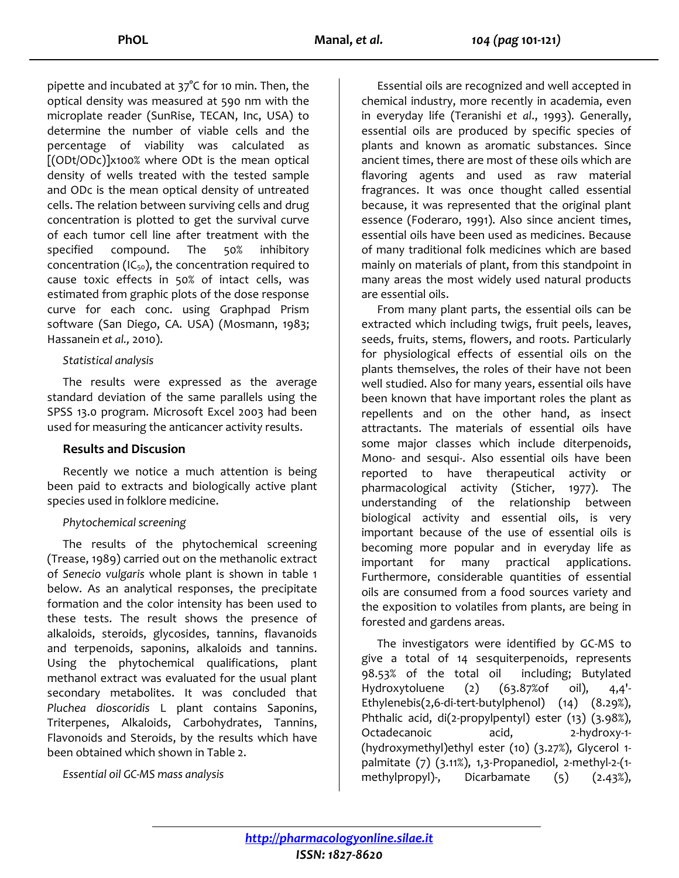pipette and incubated at 37°C for 10 min. Then, the optical density was measured at 590 nm with the microplate reader (SunRise, TECAN, Inc, USA) to determine the number of viable cells and the percentage of viability was calculated as [(ODt/ODc)]x100% where ODt is the mean optical density of wells treated with the tested sample and ODc is the mean optical density of untreated cells. The relation between surviving cells and drug concentration is plotted to get the survival curve of each tumor cell line after treatment with the specified compound. The 50% inhibitory concentration ( $IC_{50}$ ), the concentration required to cause toxic effects in 50% of intact cells, was estimated from graphic plots of the dose response curve for each conc. using Graphpad Prism software (San Diego, CA. USA) (Mosmann, 1983; Hassanein *et al.,* 2010).

### *Statistical analysis*

The results were expressed as the average standard deviation of the same parallels using the SPSS 13.0 program. Microsoft Excel 2003 had been used for measuring the anticancer activity results.

### **Results and Discusion**

Recently we notice a much attention is being been paid to extracts and biologically active plant species used in folklore medicine.

### *Phytochemical screening*

The results of the phytochemical screening (Trease, 1989) carried out on the methanolic extract of *Senecio vulgaris* whole plant is shown in table 1 below. As an analytical responses, the precipitate formation and the color intensity has been used to these tests. The result shows the presence of alkaloids, steroids, glycosides, tannins, flavanoids and terpenoids, saponins, alkaloids and tannins. Using the phytochemical qualifications, plant methanol extract was evaluated for the usual plant secondary metabolites. It was concluded that *Pluchea dioscoridis* L plant contains Saponins, Triterpenes, Alkaloids, Carbohydrates, Tannins, Flavonoids and Steroids, by the results which have been obtained which shown in Table 2.

*Essential oil GC-MS mass analysis*

Essential oils are recognized and well accepted in chemical industry, more recently in academia, even in everyday life (Teranishi *et al*., 1993). Generally, essential oils are produced by specific species of plants and known as aromatic substances. Since ancient times, there are most of these oils which are flavoring agents and used as raw material fragrances. It was once thought called essential because, it was represented that the original plant essence (Foderaro, 1991). Also since ancient times, essential oils have been used as medicines. Because of many traditional folk medicines which are based mainly on materials of plant, from this standpoint in many areas the most widely used natural products are essential oils.

From many plant parts, the essential oils can be extracted which including twigs, fruit peels, leaves, seeds, fruits, stems, flowers, and roots. Particularly for physiological effects of essential oils on the plants themselves, the roles of their have not been well studied. Also for many years, essential oils have been known that have important roles the plant as repellents and on the other hand, as insect attractants. The materials of essential oils have some major classes which include diterpenoids, Mono- and sesqui-. Also essential oils have been reported to have therapeutical activity or pharmacological activity (Sticher, 1977). The understanding of the relationship between biological activity and essential oils, is very important because of the use of essential oils is becoming more popular and in everyday life as important for many practical applications. Furthermore, considerable quantities of essential oils are consumed from a food sources variety and the exposition to volatiles from plants, are being in forested and gardens areas.

The investigators were identified by GC-MS to give a total of 14 sesquiterpenoids, represents 98.53% of the total oil including; Butylated Hydroxytoluene (2) (63.87%of oil), 4,4'- Ethylenebis(2,6-di-tert-butylphenol) (14) (8.29%), Phthalic acid, di(2-propylpentyl) ester (13) (3.98%), Octadecanoic acid, 2-hydroxy-1-(hydroxymethyl)ethyl ester (10) (3.27%), Glycerol 1 palmitate (7) (3.11%), 1,3-Propanediol, 2-methyl-2-(1 methylpropyl)-, Dicarbamate (5) (2.43%),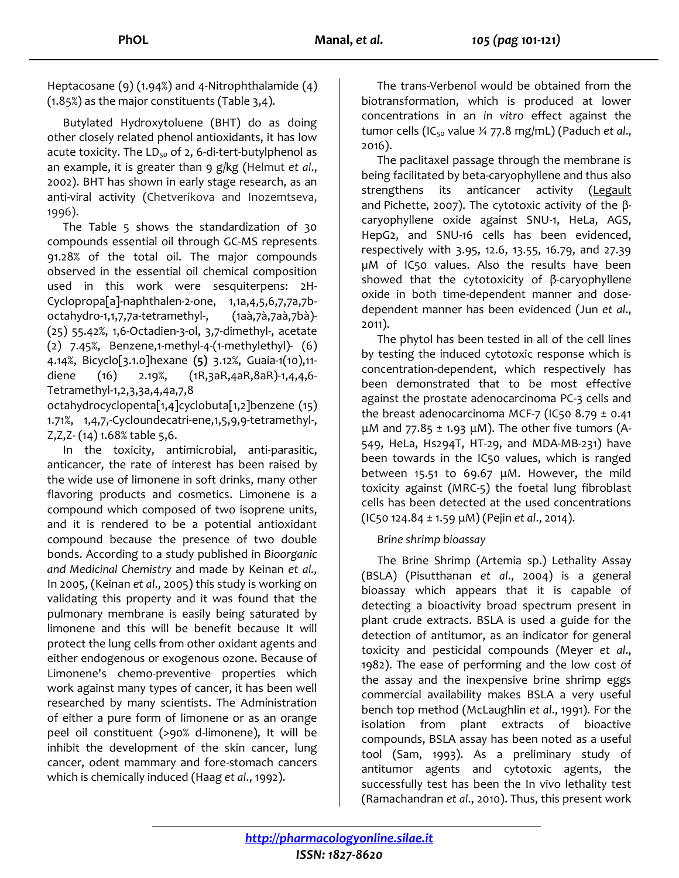Heptacosane (9) (1.94%) and 4-Nitrophthalamide (4) (1.85%) as the major constituents (Table 3,4).

Butylated Hydroxytoluene (BHT) do as doing other closely related phenol antioxidants, it has low acute toxicity. The  $LD_{50}$  of 2, 6-di-tert-butylphenol as an example, it is greater than 9 g/kg (Helmut *et al*., 2002). BHT has shown in early stage research, as an anti-viral activity (Chetverikova and Inozemtseva, 1996).

The Table 5 shows the standardization of 30 compounds essential oil through GC-MS represents 91.28% of the total oil. The major compounds observed in the essential oil chemical composition used in this work were sesquiterpens: 2H-Cyclopropa[a]-naphthalen-2-one, 1,1a,4,5,6,7,7a,7boctahydro-1,1,7,7a-tetramethyl-, (1aà,7à,7aà,7bà)- (25) 55.42%, 1,6-Octadien-3-ol, 3,7-dimethyl-, acetate (2) 7.45%, Benzene,1-methyl-4-(1-methylethyl)- (6) 4.14%, Bicyclo[3.1.0]hexane **(5)** 3.12%, Guaia-1(10),11 diene (16) 2.19%, (1R,3aR,4aR,8aR)-1,4,4,6- Tetramethyl-1,2,3,3a,4,4a,7,8

octahydrocyclopenta[1,4]cyclobuta[1,2]benzene (15) 1.71%, 1,4,7,-Cycloundecatri-ene,1,5,9,9-tetramethyl-, Z,Z,Z- (14) 1.68% table 5,6.

In the toxicity, antimicrobial, anti-parasitic, anticancer, the rate of interest has been raised by the wide use of limonene in soft drinks, many other flavoring products and cosmetics. Limonene is a compound which composed of two isoprene units, and it is rendered to be a potential antioxidant compound because the presence of two double bonds. According to a study published in *Bioorganic and Medicinal Chemistry* and made by Keinan *et al.,* In 2005, (Keinan *et al*., 2005) this study is working on validating this property and it was found that the pulmonary membrane is easily being saturated by limonene and this will be benefit because It will protect the lung cells from other oxidant agents and either endogenous or exogenous ozone. Because of Limonene's chemo-preventive properties which work against many types of cancer, it has been well researched by many scientists. The Administration of either a pure form of limonene or as an orange peel oil constituent (>90% d-limonene), It will be inhibit the development of the skin cancer, lung cancer, odent mammary and fore-stomach cancers which is chemically induced (Haag *et al*., 1992).

The trans-Verbenol would be obtained from the biotransformation, which is produced at lower concentrations in an *in vitro* effect against the tumor cells (IC<sub>50</sub> value ¼ 77.8 mg/mL) (Paduch *et al.*, 2016).

The paclitaxel passage through the membrane is being facilitated by beta-caryophyllene and thus also strengthens its anticancer activity [\(Legault](https://www.ncbi.nlm.nih.gov/pubmed/?term=Legault%20J%5BAuthor%5D&cauthor=true&cauthor_uid=18053325) and Pichette, 2007). The cytotoxic activity of the  $β$ caryophyllene oxide against SNU-1, HeLa, AGS, HepG2, and SNU-16 cells has been evidenced, respectively with 3.95, 12.6, 13.55, 16.79, and 27.39 µM of IC50 values. Also the results have been showed that the cytotoxicity of β-caryophyllene oxide in both time-dependent manner and dosedependent manner has been evidenced (Jun *et al*., 2011).

The phytol has been tested in all of the cell lines by testing the induced cytotoxic response which is concentration-dependent, which respectively has been demonstrated that to be most effective against the prostate adenocarcinoma PC-3 cells and the breast adenocarcinoma MCF-7 (IC50 8.79  $\pm$  0.41 μM and  $77.85 \pm 1.93$  μM). The other five tumors (A-549, HeLa, Hs294T, HT-29, and MDA-MB-231) have been towards in the IC50 values, which is ranged between 15.51 to 69.67 μM. However, the mild toxicity against (MRC-5) the foetal lung fibroblast cells has been detected at the used concentrations (IC50 124.84 ± 1.59 μM) (Pejin *et al*., 2014).

## *Brine shrimp bioassay*

The Brine Shrimp (Artemia sp.) Lethality Assay (BSLA) (Pisutthanan *et al*., 2004) is a general bioassay which appears that it is capable of detecting a bioactivity broad spectrum present in plant crude extracts. BSLA is used a guide for the detection of antitumor, as an indicator for general toxicity and pesticidal compounds (Meyer *et al*., 1982). The ease of performing and the low cost of the assay and the inexpensive brine shrimp eggs commercial availability makes BSLA a very useful bench top method (McLaughlin *et al*., 1991). For the isolation from plant extracts of bioactive compounds, BSLA assay has been noted as a useful tool (Sam, 1993). As a preliminary study of antitumor agents and cytotoxic agents, the successfully test has been the In vivo lethality test (Ramachandran *et al*., 2010). Thus, this present work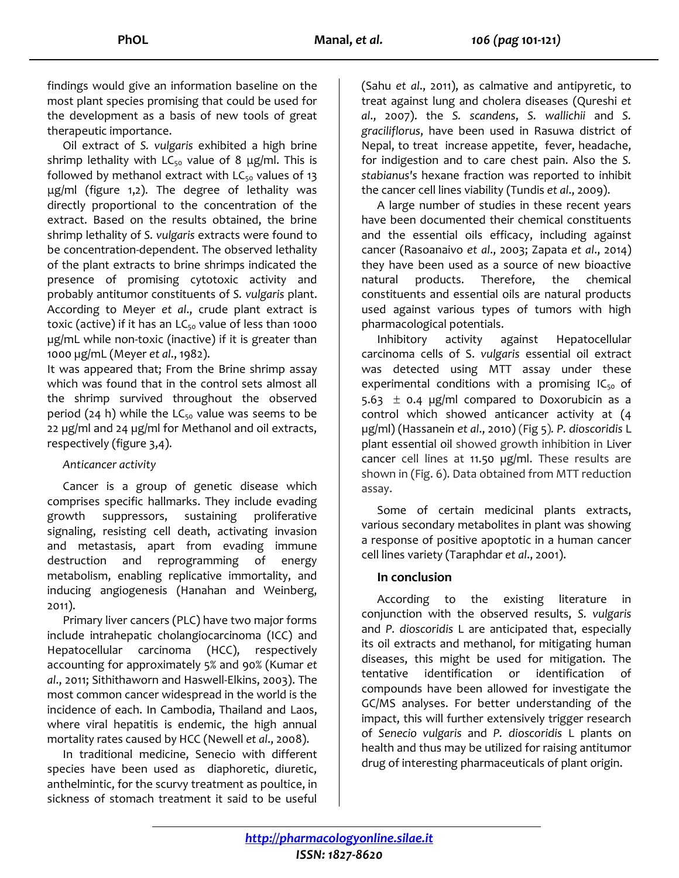findings would give an information baseline on the most plant species promising that could be used for the development as a basis of new tools of great therapeutic importance.

Oil extract of *S. vulgaris* exhibited a high brine shrimp lethality with  $LC_{50}$  value of 8  $\mu$ g/ml. This is followed by methanol extract with  $LC_{50}$  values of 13 μg/ml (figure 1,2). The degree of lethality was directly proportional to the concentration of the extract. Based on the results obtained, the brine shrimp lethality of *S. vulgaris* extracts were found to be concentration-dependent. The observed lethality of the plant extracts to brine shrimps indicated the presence of promising cytotoxic activity and probably antitumor constituents of *S. vulgaris* plant. According to Meyer *et al*., crude plant extract is toxic (active) if it has an  $LC_{50}$  value of less than 1000 µg/mL while non-toxic (inactive) if it is greater than 1000 µg/mL (Meyer *et al*., 1982).

It was appeared that; From the Brine shrimp assay which was found that in the control sets almost all the shrimp survived throughout the observed period (24 h) while the  $LC_{50}$  value was seems to be 22 µg/ml and 24 µg/ml for Methanol and oil extracts, respectively (figure 3,4).

## *Anticancer activity*

Cancer is a group of genetic disease which comprises specific hallmarks. They include evading growth suppressors, sustaining proliferative signaling, resisting cell death, activating invasion and metastasis, apart from evading immune destruction and reprogramming of energy metabolism, enabling replicative immortality, and inducing angiogenesis (Hanahan and Weinberg, 2011).

Primary liver cancers (PLC) have two major forms include intrahepatic cholangiocarcinoma (ICC) and Hepatocellular carcinoma (HCC), respectively accounting for approximately 5% and 90% (Kumar *et al*., 2011; Sithithaworn and Haswell-Elkins, 2003). The most common cancer widespread in the world is the incidence of each. In Cambodia, Thailand and Laos, where viral hepatitis is endemic, the high annual mortality rates caused by HCC (Newell *et al*., 2008).

In traditional medicine, Senecio with different species have been used as diaphoretic, diuretic, anthelmintic, for the scurvy treatment as poultice, in sickness of stomach treatment it said to be useful

(Sahu *et al*., 2011), as calmative and antipyretic, to treat against lung and cholera diseases (Qureshi *et al*., 2007). the *S. scandens*, *S. wallichii* and *S. graciliflorus*, have been used in Rasuwa district of Nepal, to treat increase appetite, fever, headache, for indigestion and to care chest pain. Also the *S. stabianus's* hexane fraction was reported to inhibit the cancer cell lines viability (Tundis *et al*., 2009).

A large number of studies in these recent years have been documented their chemical constituents and the essential oils efficacy, including against cancer (Rasoanaivo *et al*., 2003; Zapata *et al*., 2014) they have been used as a source of new bioactive natural products. Therefore, the chemical constituents and essential oils are natural products used against various types of tumors with high pharmacological potentials.

Inhibitory activity against Hepatocellular carcinoma cells of S. *vulgaris* essential oil extract was detected using MTT assay under these experimental conditions with a promising  $IC_{50}$  of 5.63  $\pm$  0.4 µg/ml compared to Doxorubicin as a control which showed anticancer activity at (4 µg/ml) (Hassanein *et al*., 2010) (Fig 5)*. P. dioscoridis* L plant essential oil showed growth inhibition in Liver cancer cell lines at 11.50 µg/ml. These results are shown in (Fig. 6). Data obtained from MTT reduction assay.

Some of certain medicinal plants extracts, various secondary metabolites in plant was showing a response of positive apoptotic in a human cancer cell lines variety (Taraphdar *et al*., 2001).

## **In conclusion**

According to the existing literature in conjunction with the observed results, *S. vulgaris*  and *P. dioscoridis* L are anticipated that, especially its oil extracts and methanol, for mitigating human diseases, this might be used for mitigation. The tentative identification or identification of compounds have been allowed for investigate the GC/MS analyses. For better understanding of the impact, this will further extensively trigger research of *Senecio vulgaris* and *P. dioscoridis* L plants on health and thus may be utilized for raising antitumor drug of interesting pharmaceuticals of plant origin.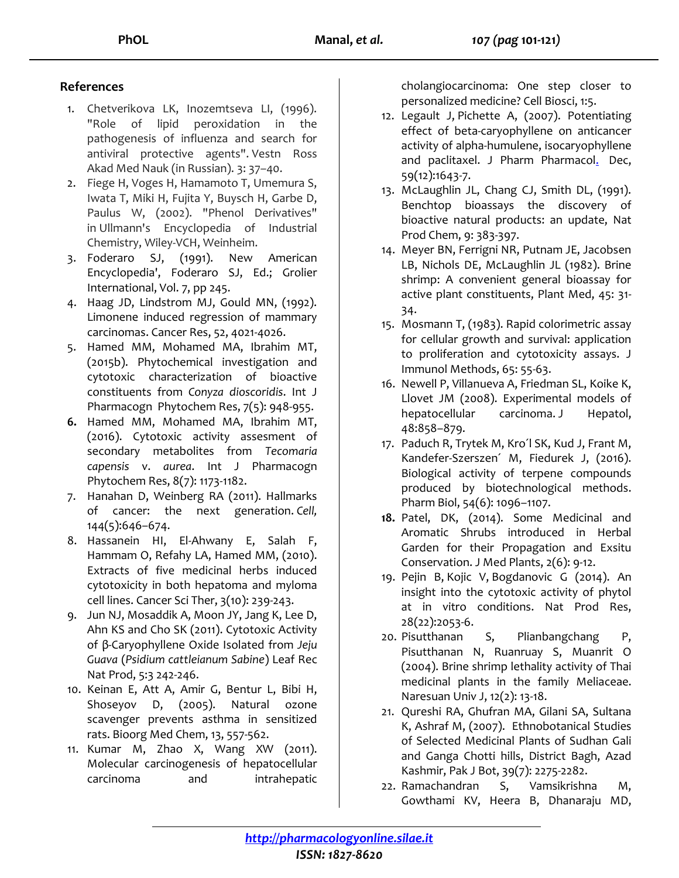## **References**

- 1. Chetverikova LK, Inozemtseva LI, (1996). "Role of lipid peroxidation in the pathogenesis of influenza and search for antiviral protective agents". Vestn Ross Akad Med Nauk (in Russian). 3: 37–40.
- 2. Fiege H, Voges H, Hamamoto T, Umemura S, Iwata T, Miki H, Fujita Y, Buysch H, Garbe D, Paulus W, (2002). "Phenol Derivatives" in Ullmann's Encyclopedia of Industrial Chemistry, Wiley-VCH, Weinheim.
- 3. Foderaro SJ, (1991). New American Encyclopedia', Foderaro SJ, Ed.; Grolier International, Vol. 7, pp 245.
- 4. Haag JD, Lindstrom MJ, Gould MN, (1992). Limonene induced regression of mammary carcinomas. Cancer Res, 52, 4021-4026.
- 5. Hamed MM, Mohamed MA, Ibrahim MT, (2015b). Phytochemical investigation and cytotoxic characterization of bioactive constituents from *Conyza dioscoridis*. Int J Pharmacogn Phytochem Res, 7(5): 948-955.
- **6.** Hamed MM, Mohamed MA, Ibrahim MT, (2016). Cytotoxic activity assesment of secondary metabolites from *Tecomaria capensis* v. *aurea*. Int J Pharmacogn Phytochem Res, 8(7): 1173-1182.
- 7. Hanahan D, Weinberg RA (2011). Hallmarks of cancer: the next generation. *Cell,* 144(5):646–674.
- 8. Hassanein HI, El-Ahwany E, Salah F, Hammam O, Refahy LA, Hamed MM, (2010). Extracts of five medicinal herbs induced cytotoxicity in both hepatoma and myloma cell lines. Cancer Sci Ther, 3(10): 239-243.
- 9. Jun NJ, Mosaddik A, Moon JY, Jang K, Lee D, Ahn KS and Cho SK (2011). Cytotoxic Activity of β-Caryophyllene Oxide Isolated from *Jeju Guava* (*Psidium cattleianum Sabine*) Leaf Rec Nat Prod, 5:3 242-246.
- 10. Keinan E, Att A, Amir G, Bentur L, Bibi H, Shoseyov D, (2005). Natural ozone scavenger prevents asthma in sensitized rats. Bioorg Med Chem, 13, 557-562.
- 11. Kumar M, Zhao X, Wang XW (2011). Molecular carcinogenesis of hepatocellular carcinoma and intrahepatic

cholangiocarcinoma: One step closer to personalized medicine? Cell Biosci, 1:5.

- 12. [Legault J,](https://www.ncbi.nlm.nih.gov/pubmed/?term=Legault%20J%5BAuthor%5D&cauthor=true&cauthor_uid=18053325) Pichette A, (2007). Potentiating effect of beta-caryophyllene on anticancer activity of alpha-humulene, isocaryophyllene and paclitaxel. [J Pharm Pharmacol.](https://www.ncbi.nlm.nih.gov/pubmed/18053325) Dec, 59(12):1643-7.
- 13. McLaughlin JL, Chang CJ, Smith DL, (1991). Benchtop bioassays the discovery of bioactive natural products: an update, Nat Prod Chem, 9: 383-397.
- 14. Meyer BN, Ferrigni NR, Putnam JE, Jacobsen LB, Nichols DE, McLaughlin JL (1982). Brine shrimp: A convenient general bioassay for active plant constituents, Plant Med, 45: 31- 34.
- 15. Mosmann T, (1983). Rapid colorimetric assay for cellular growth and survival: application to proliferation and cytotoxicity assays. J Immunol Methods, 65: 55-63.
- 16. Newell P, Villanueva A, Friedman SL, Koike K, Llovet JM (2008). Experimental models of hepatocellular carcinoma. J Hepatol, 48:858–879.
- 17. Paduch R, Trytek M, Kro´l SK, Kud J, Frant M, Kandefer-Szerszen´ M, Fiedurek J, (2016). Biological activity of terpene compounds produced by biotechnological methods. Pharm Biol, 54(6): 1096–1107.
- **18.** Patel, DK, (2014). Some Medicinal and Aromatic Shrubs introduced in Herbal Garden for their Propagation and Exsitu Conservation. J Med Plants, 2(6): 9-12.
- 19. [Pejin B,](https://www.ncbi.nlm.nih.gov/pubmed/?term=Pejin%20B%5BAuthor%5D&cauthor=true&cauthor_uid=24896297) [Kojic V,](https://www.ncbi.nlm.nih.gov/pubmed/?term=Kojic%20V%5BAuthor%5D&cauthor=true&cauthor_uid=24896297) [Bogdanovic G](https://www.ncbi.nlm.nih.gov/pubmed/?term=Bogdanovic%20G%5BAuthor%5D&cauthor=true&cauthor_uid=24896297) (2014). An insight into the cytotoxic activity of phytol at in vitro conditions. Nat Prod Res, 28(22):2053-6.
- 20. Pisutthanan S, Plianbangchang P, Pisutthanan N, Ruanruay S, Muanrit O (2004). Brine shrimp lethality activity of Thai medicinal plants in the family Meliaceae. Naresuan Univ J, 12(2): 13-18.
- 21. Qureshi RA, Ghufran MA, Gilani SA, Sultana K, Ashraf M, (2007). Ethnobotanical Studies of Selected Medicinal Plants of Sudhan Gali and Ganga Chotti hills, District Bagh, Azad Kashmir, Pak J Bot, 39(7): 2275-2282.
- 22. Ramachandran S, Vamsikrishna M, Gowthami KV, Heera B, Dhanaraju MD,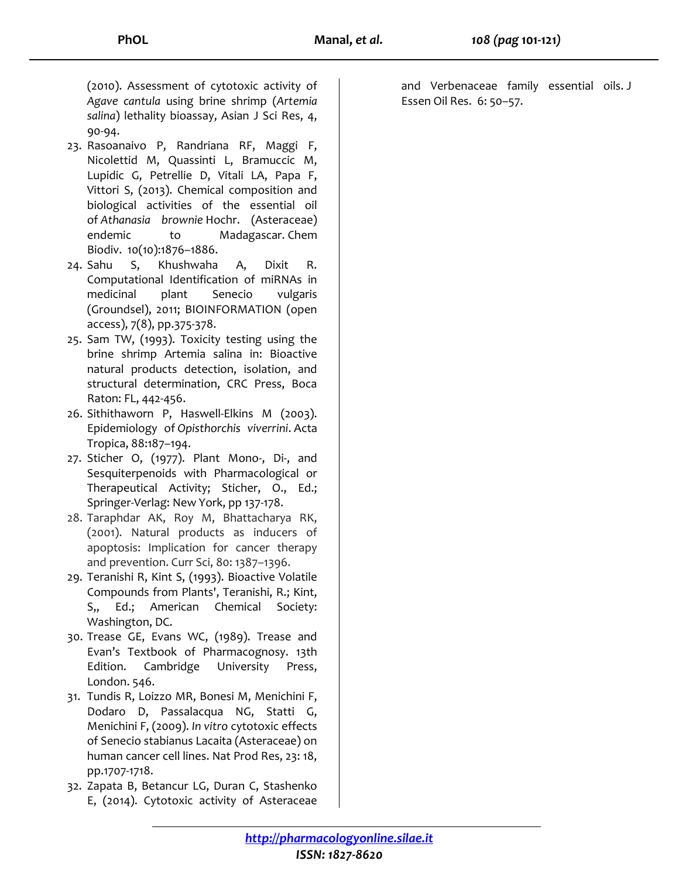(2010). Assessment of cytotoxic activity of *Agave cantula* using brine shrimp (*Artemia salina*) lethality bioassay, Asian J Sci Res, 4, 90-94.

- 23. Rasoanaivo P, Randriana RF, Maggi F, Nicolettid M, Quassinti L, Bramuccic M, Lupidic G, Petrellie D, Vitali LA, Papa F, Vittori S, (2013). Chemical composition and biological activities of the essential oil of *Athanasia brownie* Hochr. (Asteraceae) endemic to Madagascar. Chem Biodiv. 10(10):1876–1886.
- 24. Sahu S, Khushwaha A, Dixit R. Computational Identification of miRNAs in medicinal plant Senecio vulgaris (Groundsel), 2011; BIOINFORMATION (open access), 7(8), pp.375-378.
- 25. Sam TW, (1993). Toxicity testing using the brine shrimp Artemia salina in: Bioactive natural products detection, isolation, and structural determination, CRC Press, Boca Raton: FL, 442-456.
- 26. Sithithaworn P, Haswell-Elkins M (2003). Epidemiology of *Opisthorchis viverrini*. Acta Tropica, 88:187–194.
- 27. Sticher O, (1977). Plant Mono-, Di-, and Sesquiterpenoids with Pharmacological or Therapeutical Activity; Sticher, O., Ed.; Springer-Verlag: New York, pp 137-178.
- 28. Taraphdar AK, Roy M, Bhattacharya RK, (2001). Natural products as inducers of apoptosis: Implication for cancer therapy and prevention. Curr Sci, 80: 1387–1396.
- 29. Teranishi R, Kint S, (1993). Bioactive Volatile Compounds from Plants', Teranishi, R.; Kint, S,, Ed.; American Chemical Society: Washington, DC.
- 30. Trease GE, Evans WC, (1989). Trease and Evan's Textbook of Pharmacognosy. 13th Edition. Cambridge University Press, London. 546.
- 31. Tundis R, Loizzo MR, Bonesi M, Menichini F, Dodaro D, Passalacqua NG, Statti G, Menichini F, (2009). *In vitro* cytotoxic effects of Senecio stabianus Lacaita (Asteraceae) on human cancer cell lines. Nat Prod Res, 23: 18, pp.1707-1718.
- 32. Zapata B, Betancur LG, Duran C, Stashenko E, (2014). Cytotoxic activity of Asteraceae

and Verbenaceae family essential oils. J Essen Oil Res. 6: 50–57.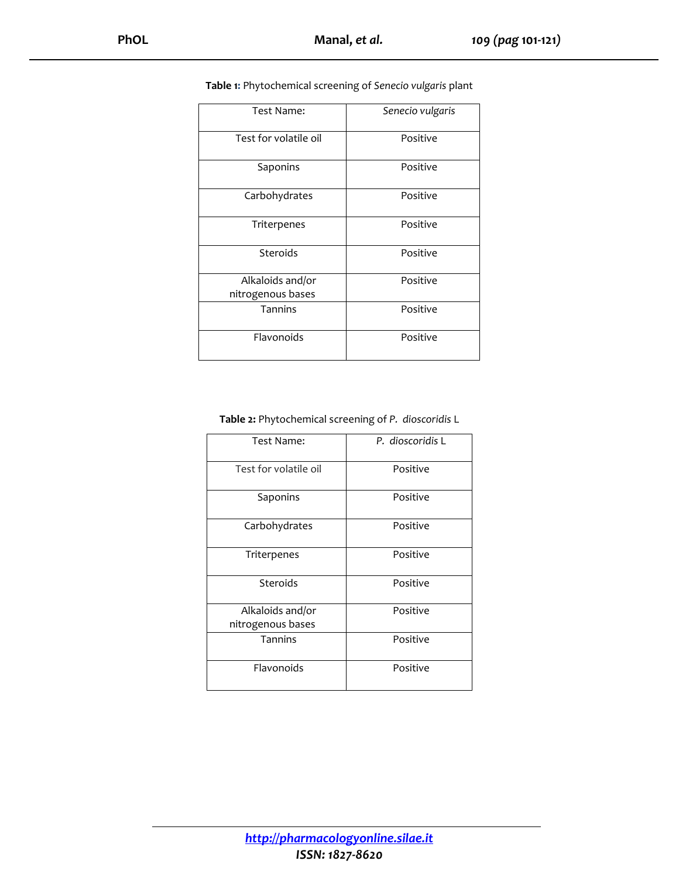| Test Name:            | Senecio vulgaris |
|-----------------------|------------------|
| Test for volatile oil | Positive         |
| Saponins              | Positive         |
| Carbohydrates         | Positive         |
| Triterpenes           | Positive         |
| Steroids              | Positive         |
| Alkaloids and/or      | Positive         |
| nitrogenous bases     |                  |
| <b>Tannins</b>        | Positive         |
| Flavonoids            | Positive         |

#### **Table 1:** Phytochemical screening of *Senecio vulgaris* plant

#### **Table 2:** Phytochemical screening of *P. dioscoridis* L

| Test Name:            | P. dioscoridis L |
|-----------------------|------------------|
| Test for volatile oil | Positive         |
| Saponins              | Positive         |
| Carbohydrates         | Positive         |
| Triterpenes           | Positive         |
| Steroids              | Positive         |
| Alkaloids and/or      | Positive         |
| nitrogenous bases     |                  |
| Tannins               | Positive         |
| Flavonoids            | Positive         |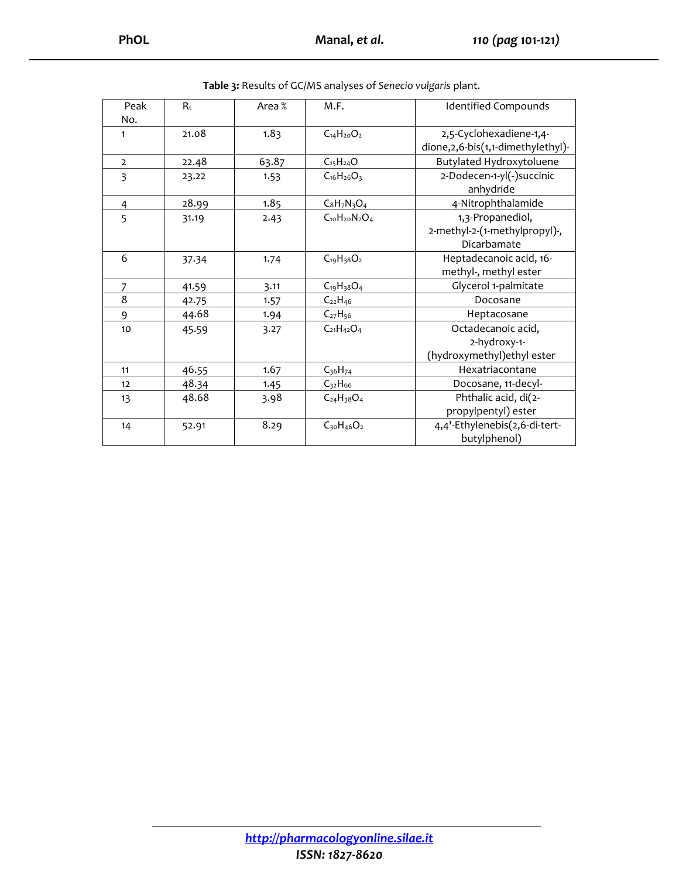| Peak           | $R_t$ | Area % | M.F.                 | <b>Identified Compounds</b>          |
|----------------|-------|--------|----------------------|--------------------------------------|
| No.            |       |        |                      |                                      |
| 1              | 21.08 | 1.83   | $C_{14}H_{20}O_2$    | 2,5-Cyclohexadiene-1,4-              |
|                |       |        |                      | dione, 2, 6-bis(1, 1-dimethylethyl)- |
| $\overline{2}$ | 22.48 | 63.87  | $C_{15}H_{24}O$      | Butylated Hydroxytoluene             |
| 3              | 23.22 | 1.53   | $C_{16}H_{26}O_3$    | 2-Dodecen-1-yl(-)succinic            |
|                |       |        |                      | anhydride                            |
| $\overline{4}$ | 28.99 | 1.85   | $C_8H_7N_3O_4$       | 4-Nitrophthalamide                   |
| 5              | 31.19 | 2.43   | $C_{10}H_{20}N_2O_4$ | 1,3-Propanediol,                     |
|                |       |        |                      | 2-methyl-2-(1-methylpropyl)-,        |
|                |       |        |                      | Dicarbamate                          |
| 6              | 37.34 | 1.74   | $C_{19}H_{38}O_2$    | Heptadecanoic acid, 16-              |
|                |       |        |                      | methyl-, methyl ester                |
| 7              | 41.59 | 3.11   | $C_{19}H_{38}O_4$    | Glycerol 1-palmitate                 |
| 8              | 42.75 | 1.57   | $C_{22}H_{46}$       | Docosane                             |
| 9              | 44.68 | 1.94   | $C_{27}H_{56}$       | Heptacosane                          |
| 10             | 45.59 | 3.27   | $C_{21}H_{42}O_4$    | Octadecanoic acid,                   |
|                |       |        |                      | 2-hydroxy-1-                         |
|                |       |        |                      | (hydroxymethyl) ethyl ester          |
| 11             | 46.55 | 1.67   | $C_{36}H_{74}$       | Hexatriacontane                      |
| 12             | 48.34 | 1.45   | $C_{32}H_{66}$       | Docosane, 11-decyl-                  |
| 13             | 48.68 | 3.98   | $C_{24}H_{38}O_4$    | Phthalic acid, di(2-                 |
|                |       |        |                      | propylpentyl) ester                  |
| 14             | 52.91 | 8.29   | $C_{30}H_{46}O_2$    | 4,4'-Ethylenebis(2,6-di-tert-        |
|                |       |        |                      | butylphenol)                         |

**Table 3:** Results of GC/MS analyses of *Senecio vulgaris* plant.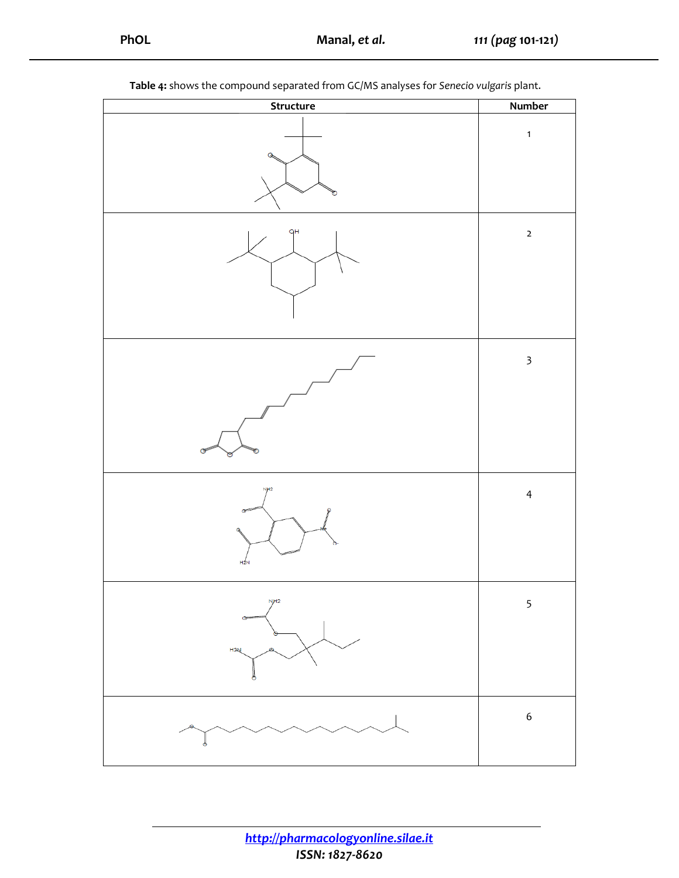| л.<br>л.<br>×,<br>Structure                  | <u>c</u><br><u>ка</u><br><b>Number</b> |
|----------------------------------------------|----------------------------------------|
| Q<br>ъ                                       | $\mathbf{1}$                           |
| qΗ                                           | $\mathbf{2}$                           |
| G                                            | $\overline{\mathbf{3}}$                |
| NH <sub>2</sub><br>$\sigma$<br>G<br>$H_{2N}$ | $\overline{4}$                         |
| N <sub>H2</sub><br>H <sub>2N</sub>           | 5                                      |
|                                              | $\boldsymbol{6}$                       |

**Table 4:** shows the compound separated from GC/MS analyses for *Senecio vulgaris* plant.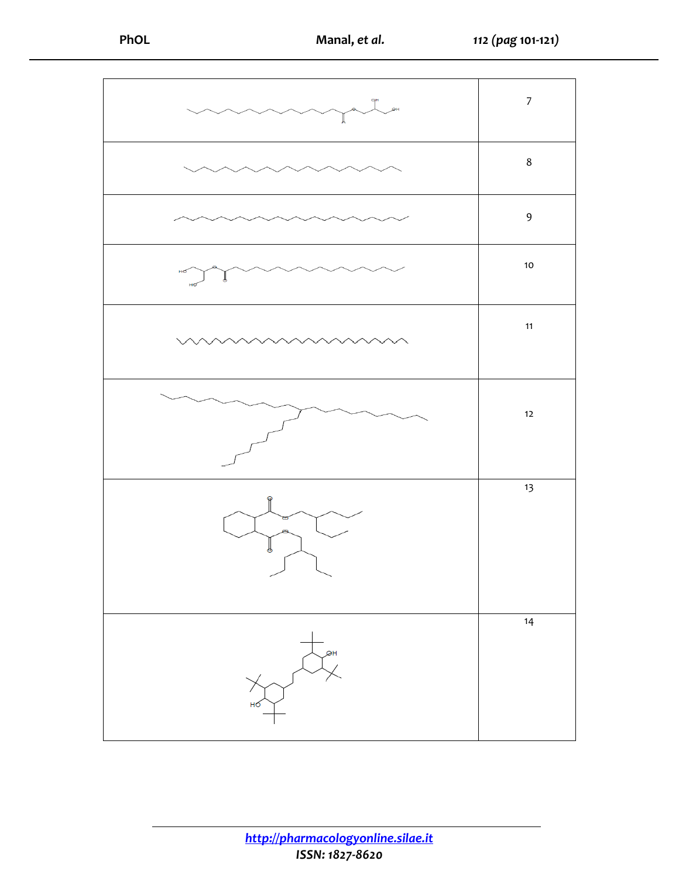

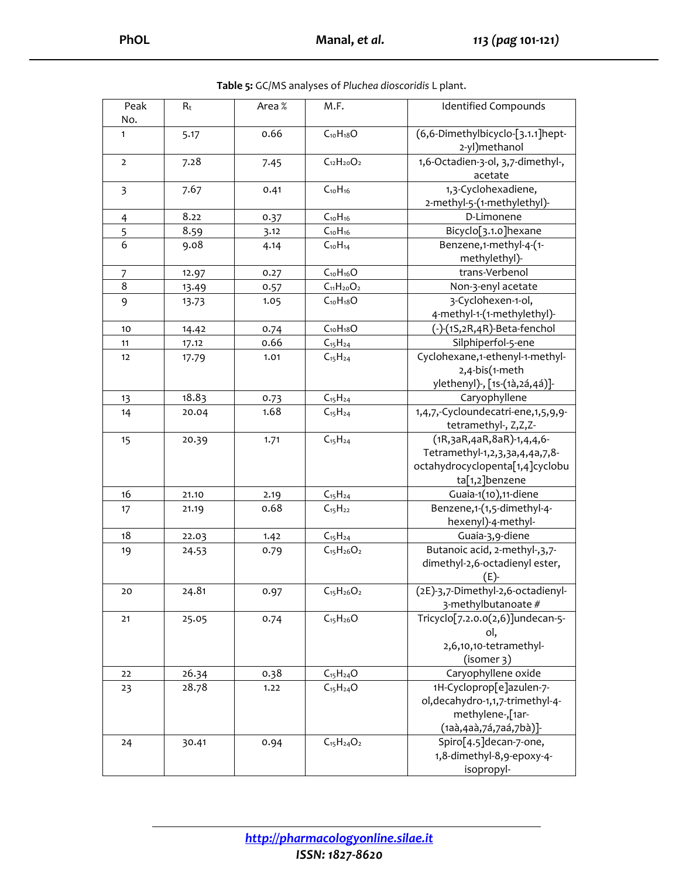| Peak<br>No.    | $R_t$ | Area % | M.F.              | <b>Identified Compounds</b>                                                                                               |
|----------------|-------|--------|-------------------|---------------------------------------------------------------------------------------------------------------------------|
| 1              | 5.17  | 0.66   | $C_{10}H_{18}O$   | (6,6-Dimethylbicyclo-[3.1.1]hept-<br>2-yl)methanol                                                                        |
| $\overline{2}$ | 7.28  | 7.45   | $C_{12}H_{20}O_2$ | 1,6-Octadien-3-ol, 3,7-dimethyl-,<br>acetate                                                                              |
| 3              | 7.67  | 0.41   | $C_{10}H_{16}$    | 1,3-Cyclohexadiene,<br>2-methyl-5-(1-methylethyl)-                                                                        |
| $\overline{4}$ | 8.22  | 0.37   | $C_{10}H_{16}$    | D-Limonene                                                                                                                |
| 5              | 8.59  | 3.12   | $C_{10}H_{16}$    | Bicyclo[3.1.0]hexane                                                                                                      |
| 6              | 9.08  | 4.14   | $C_{10}H_{14}$    | Benzene,1-methyl-4-(1-<br>methylethyl)-                                                                                   |
| 7              | 12.97 | 0.27   | $C_{10}H_{16}O$   | trans-Verbenol                                                                                                            |
| 8              | 13.49 | 0.57   | $C_{11}H_{20}O_2$ | Non-3-enyl acetate                                                                                                        |
| 9              | 13.73 | 1.05   | $C_{10}H_{18}O$   | 3-Cyclohexen-1-ol,<br>4-methyl-1-(1-methylethyl)-                                                                         |
| 10             | 14.42 | 0.74   | $C_{10}H_{18}O$   | (-)-(1S,2R,4R)-Beta-fenchol                                                                                               |
| 11             | 17.12 | 0.66   | $C_{15}H_{24}$    | Silphiperfol-5-ene                                                                                                        |
| 12             | 17.79 | 1.01   | $C_{15}H_{24}$    | Cyclohexane,1-ethenyl-1-methyl-<br>2,4-bis(1-meth                                                                         |
|                |       |        |                   | ylethenyl)-, [1s-(1à,2á,4á)]-                                                                                             |
| 13             | 18.83 | 0.73   | $C_{15}H_{24}$    | Caryophyllene                                                                                                             |
| 14             | 20.04 | 1.68   | $C_{15}H_{24}$    | 1,4,7,-Cycloundecatri-ene,1,5,9,9-<br>tetramethyl-, Z,Z,Z-                                                                |
| 15             | 20.39 | 1.71   | $C_{15}H_{24}$    | (1R, 3aR, 4aR, 8aR) - 1, 4, 4, 6 -<br>Tetramethyl-1,2,3,3a,4,4a,7,8-<br>octahydrocyclopenta[1,4]cyclobu<br>ta[1,2]benzene |
| 16             | 21.10 | 2.19   | $C_{15}H_{24}$    | Guaia-1(10),11-diene                                                                                                      |
| 17             | 21.19 | 0.68   | $C_{15}H_{22}$    | Benzene,1-(1,5-dimethyl-4-<br>hexenyl)-4-methyl-                                                                          |
| 18             | 22.03 | 1.42   | $C_{15}H_{24}$    | Guaia-3,9-diene                                                                                                           |
| 19             | 24.53 | 0.79   | $C_{15}H_{26}O_2$ | Butanoic acid, 2-methyl-, 3, 7-<br>dimethyl-2,6-octadienyl ester,<br>$(E)$ -                                              |
| 20             | 24.81 | 0.97   | $C_{15}H_{26}O_2$ | (2E)-3,7-Dimethyl-2,6-octadienyl-<br>3-methylbutanoate #                                                                  |
| 21             | 25.05 | 0.74   | $C_{15}H_{26}O$   | Tricyclo[7.2.0.0(2,6)]undecan-5-<br>ol,<br>2,6,10,10-tetramethyl-<br>(isomer 3)                                           |
| 22             | 26.34 | 0.38   | $C_{15}H_{24}O$   | Caryophyllene oxide                                                                                                       |
| 23             | 28.78 | 1.22   | $C_{15}H_{24}O$   | 1H-Cycloprop[e]azulen-7-                                                                                                  |
|                |       |        |                   | ol, decahydro-1,1,7-trimethyl-4-<br>methylene-,[1ar-<br>(1aà,4aà,7á,7aá,7bà)]-                                            |
| 24             | 30.41 | 0.94   | $C_{15}H_{24}O_2$ | Spiro[4.5]decan-7-one,<br>1,8-dimethyl-8,9-epoxy-4-<br>isopropyl-                                                         |

**Table 5:** GC/MS analyses of *Pluchea dioscoridis* L plant.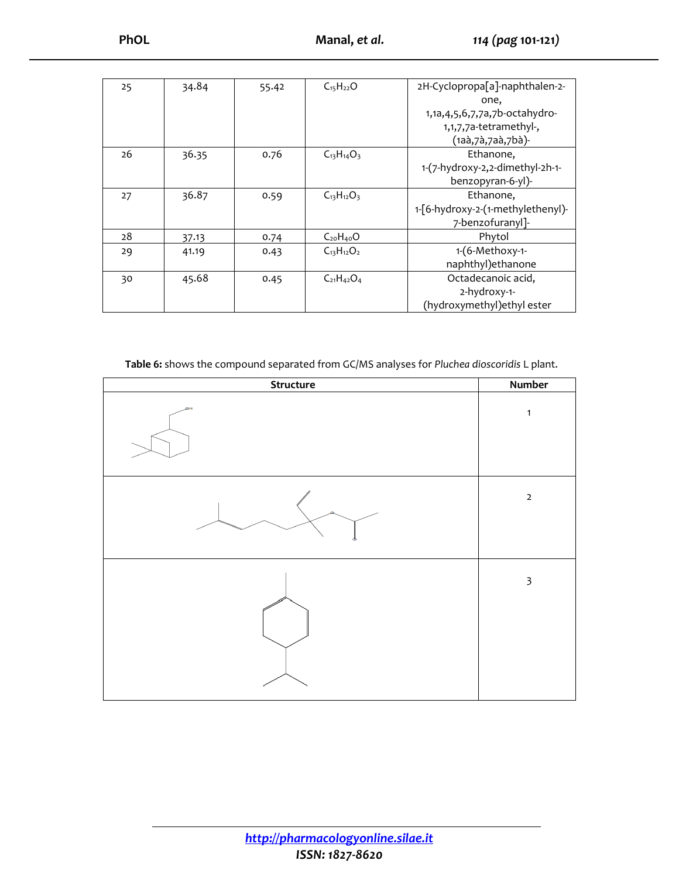| 25 | 34.84 | 55.42 | $C_{15}H_{22}O$   | 2H-Cyclopropa[a]-naphthalen-2-       |
|----|-------|-------|-------------------|--------------------------------------|
|    |       |       |                   | one,                                 |
|    |       |       |                   | 1,1a, 4, 5, 6, 7, 7a, 7b-octahy dro- |
|    |       |       |                   | 1,1,7,7a-tetramethyl-,               |
|    |       |       |                   | (1aà, 7à, 7aà, 7bà)-                 |
| 26 | 36.35 | 0.76  | $C_{13}H_{14}O_3$ | Ethanone,                            |
|    |       |       |                   | 1-(7-hydroxy-2,2-dimethyl-2h-1-      |
|    |       |       |                   | benzopyran-6-yl)-                    |
| 27 | 36.87 | 0.59  | $C_{13}H_{12}O_3$ | Ethanone,                            |
|    |       |       |                   | 1-[6-hydroxy-2-(1-methylethenyl)-    |
|    |       |       |                   | 7-benzofuranyl]-                     |
| 28 | 37.13 | 0.74  | $C_{20}H_{40}O$   | Phytol                               |
| 29 | 41.19 | 0.43  | $C_{13}H_{12}O_2$ | 1-(6-Methoxy-1-                      |
|    |       |       |                   | naphthyl) ethanone                   |
| 30 | 45.68 | 0.45  | $C_{21}H_{42}O_4$ | Octadecanoic acid,                   |
|    |       |       |                   | 2-hydroxy-1-                         |
|    |       |       |                   | (hydroxymethyl) ethyl ester          |

**Table 6:** shows the compound separated from GC/MS analyses for *Pluchea dioscoridis* L plant.

| Structure | Number                  |
|-----------|-------------------------|
| ØН        | $\mathbf{1}$            |
| Ä         | $\mathbf 2$             |
|           | $\overline{\mathbf{3}}$ |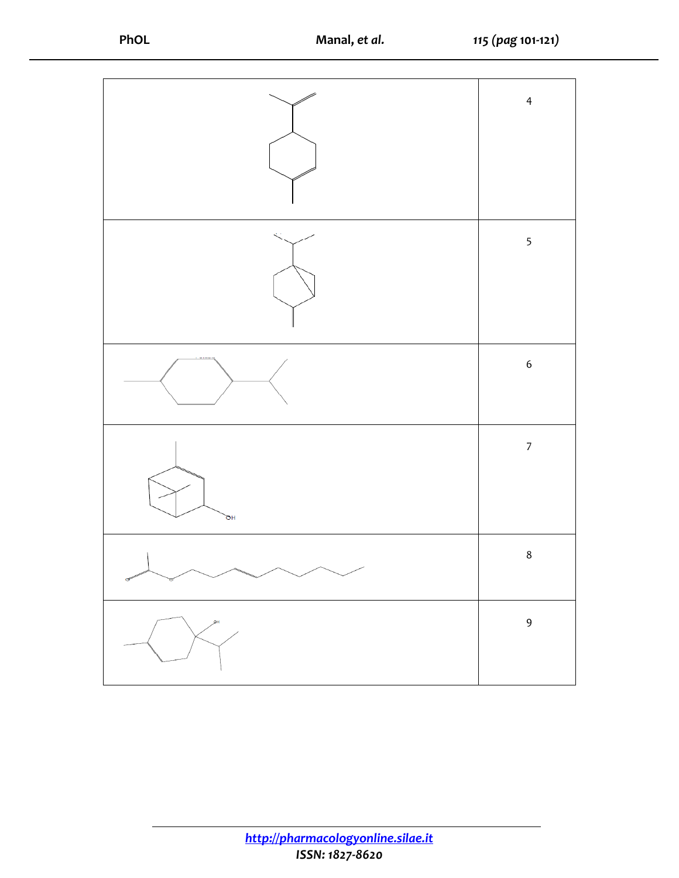|           | $\overline{4}$   |
|-----------|------------------|
|           |                  |
|           | 5                |
|           | $\boldsymbol{6}$ |
| ъH        | $\boldsymbol{7}$ |
| $\diagup$ | $\,8$            |
| ЯН        | 9                |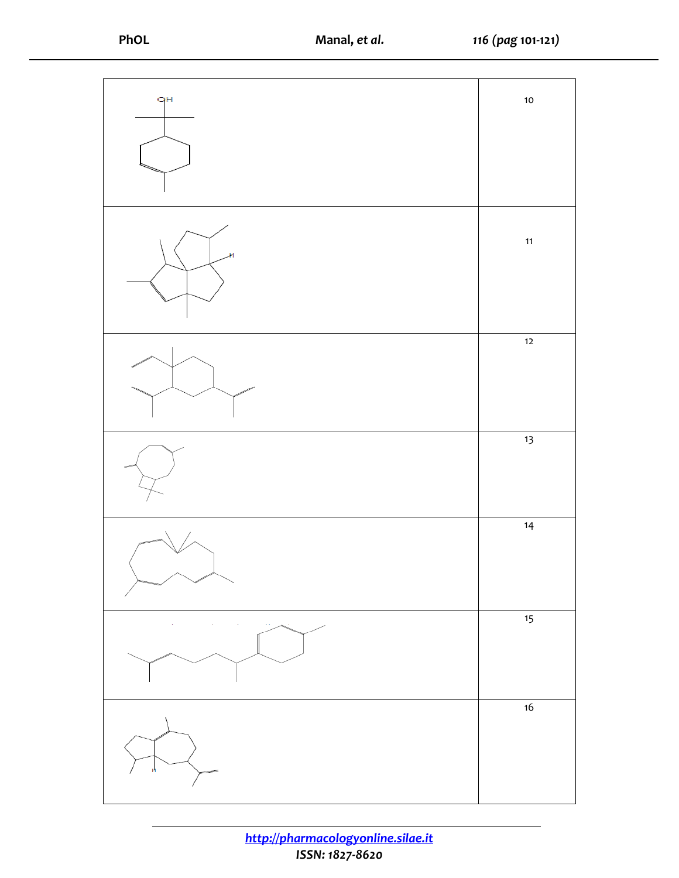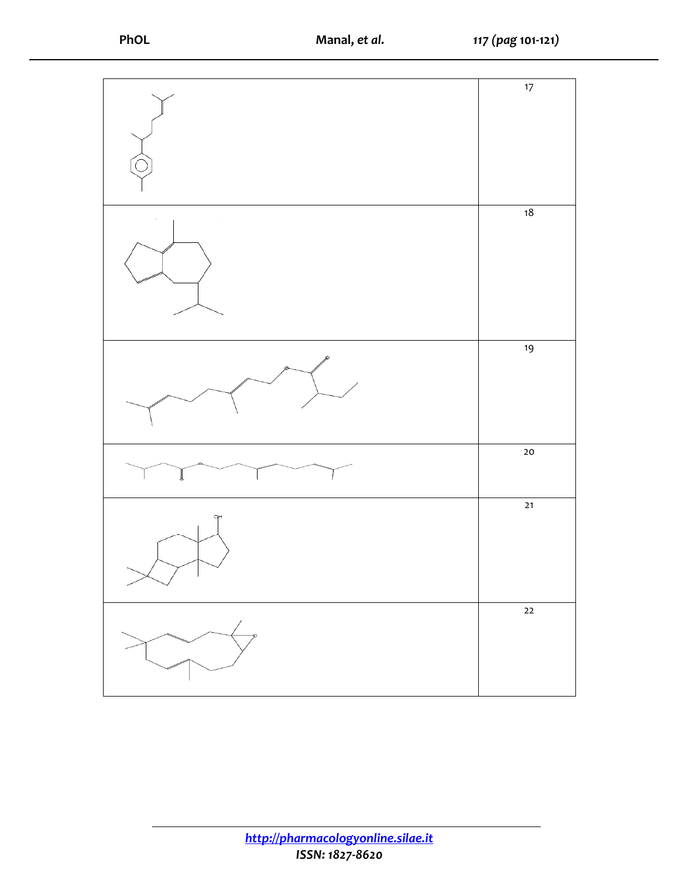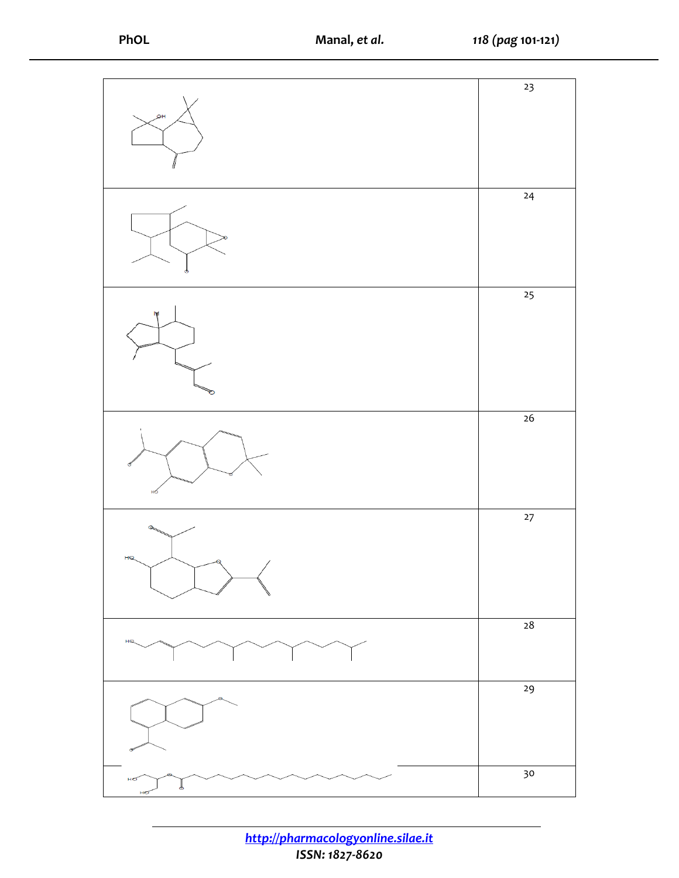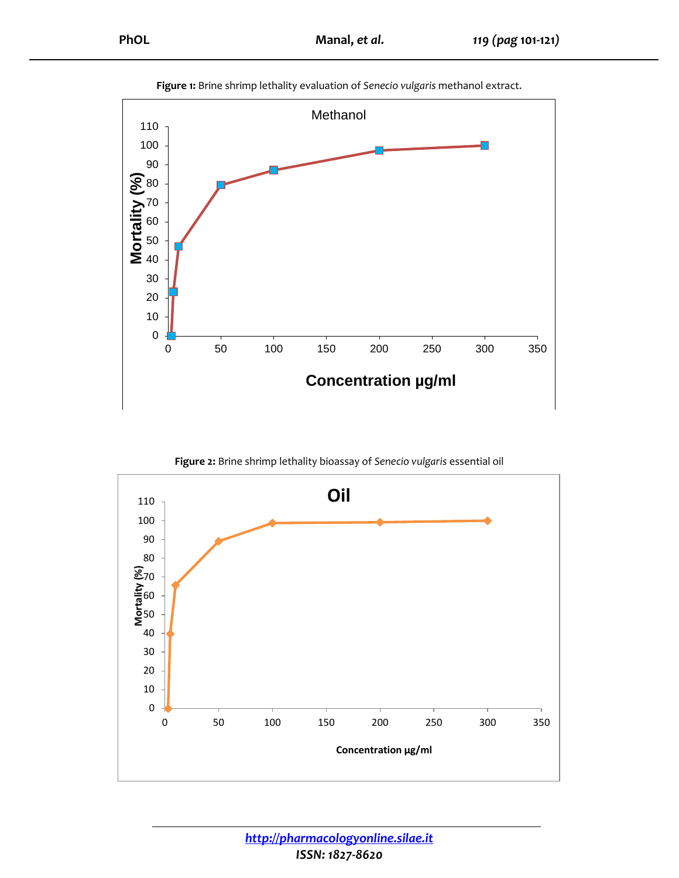



**Figure 2:** Brine shrimp lethality bioassay of *Senecio vulgaris* essential oil

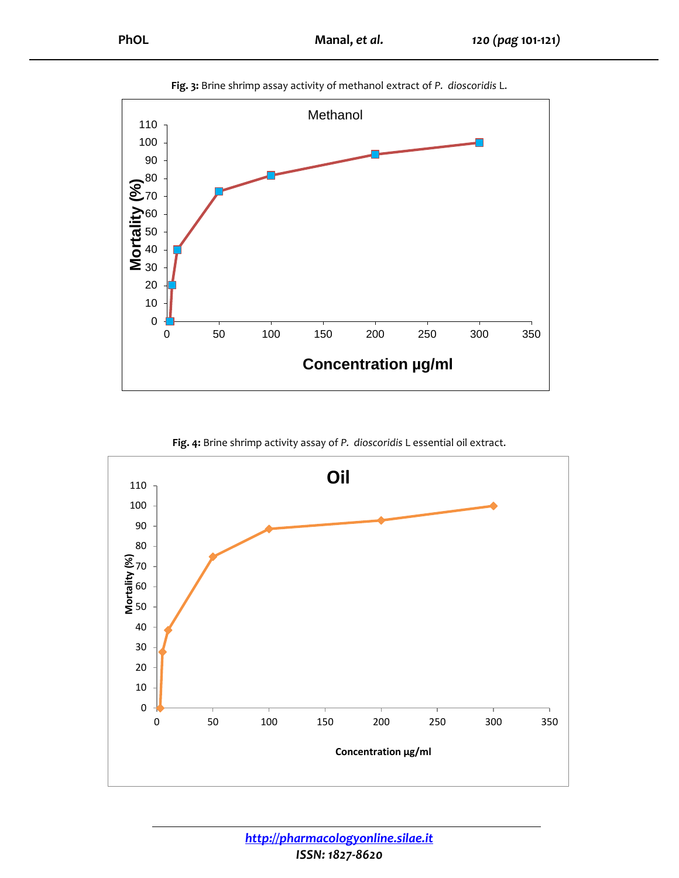

**Fig. 3:** Brine shrimp assay activity of methanol extract of *P. dioscoridis* L.

**Fig. 4:** Brine shrimp activity assay of *P. dioscoridis* L essential oil extract.